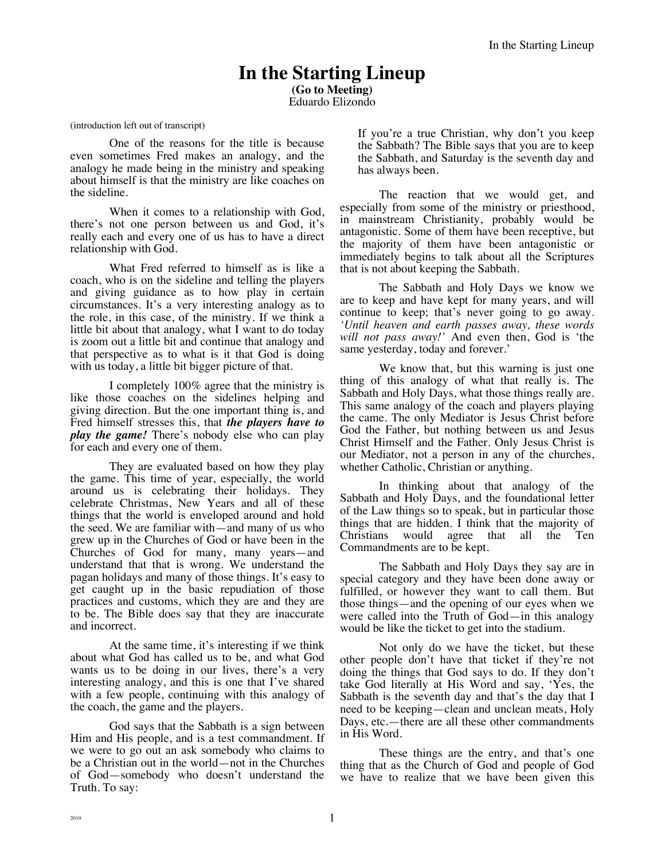# **In the Starting Lineup**

**(Go to Meeting)** Eduardo Elizondo

(introduction left out of transcript)

One of the reasons for the title is because even sometimes Fred makes an analogy, and the analogy he made being in the ministry and speaking about himself is that the ministry are like coaches on the sideline.

When it comes to a relationship with God, there's not one person between us and God, it's really each and every one of us has to have a direct relationship with God.

What Fred referred to himself as is like a coach, who is on the sideline and telling the players and giving guidance as to how play in certain circumstances. It's a very interesting analogy as to the role, in this case, of the ministry. If we think a little bit about that analogy, what I want to do today is zoom out a little bit and continue that analogy and that perspective as to what is it that God is doing with us today, a little bit bigger picture of that.

I completely 100% agree that the ministry is like those coaches on the sidelines helping and giving direction. But the one important thing is, and Fred himself stresses this, that *the players have to play the game!* There's nobody else who can play for each and every one of them.

They are evaluated based on how they play the game. This time of year, especially, the world around us is celebrating their holidays. They celebrate Christmas, New Years and all of these things that the world is enveloped around and hold the seed. We are familiar with—and many of us who grew up in the Churches of God or have been in the Churches of God for many, many years—and understand that that is wrong. We understand the pagan holidays and many of those things. It's easy to get caught up in the basic repudiation of those practices and customs, which they are and they are to be. The Bible does say that they are inaccurate and incorrect.

At the same time, it's interesting if we think about what God has called us to be, and what God wants us to be doing in our lives, there's a very interesting analogy, and this is one that I've shared with a few people, continuing with this analogy of the coach, the game and the players.

God says that the Sabbath is a sign between Him and His people, and is a test commandment. If we were to go out an ask somebody who claims to be a Christian out in the world—not in the Churches of God—somebody who doesn't understand the Truth. To say:

If you're a true Christian, why don't you keep the Sabbath? The Bible says that you are to keep the Sabbath, and Saturday is the seventh day and has always been.

The reaction that we would get, and especially from some of the ministry or priesthood, in mainstream Christianity, probably would be antagonistic. Some of them have been receptive, but the majority of them have been antagonistic or immediately begins to talk about all the Scriptures that is not about keeping the Sabbath.

The Sabbath and Holy Days we know we are to keep and have kept for many years, and will continue to keep; that's never going to go away. *'Until heaven and earth passes away, these words will not pass away!'* And even then, God is 'the same yesterday, today and forever.'

We know that, but this warning is just one thing of this analogy of what that really is. The Sabbath and Holy Days, what those things really are. This same analogy of the coach and players playing the came. The only Mediator is Jesus Christ before God the Father, but nothing between us and Jesus Christ Himself and the Father. Only Jesus Christ is our Mediator, not a person in any of the churches, whether Catholic, Christian or anything.

In thinking about that analogy of the Sabbath and Holy Days, and the foundational letter of the Law things so to speak, but in particular those things that are hidden. I think that the majority of Christians would agree that all the Ten Commandments are to be kept.

The Sabbath and Holy Days they say are in special category and they have been done away or fulfilled, or however they want to call them. But those things—and the opening of our eyes when we were called into the Truth of God—in this analogy would be like the ticket to get into the stadium.

Not only do we have the ticket, but these other people don't have that ticket if they're not doing the things that God says to do. If they don't take God literally at His Word and say, 'Yes, the Sabbath is the seventh day and that's the day that I need to be keeping—clean and unclean meats, Holy Days, etc.—there are all these other commandments in His Word.

These things are the entry, and that's one thing that as the Church of God and people of God we have to realize that we have been given this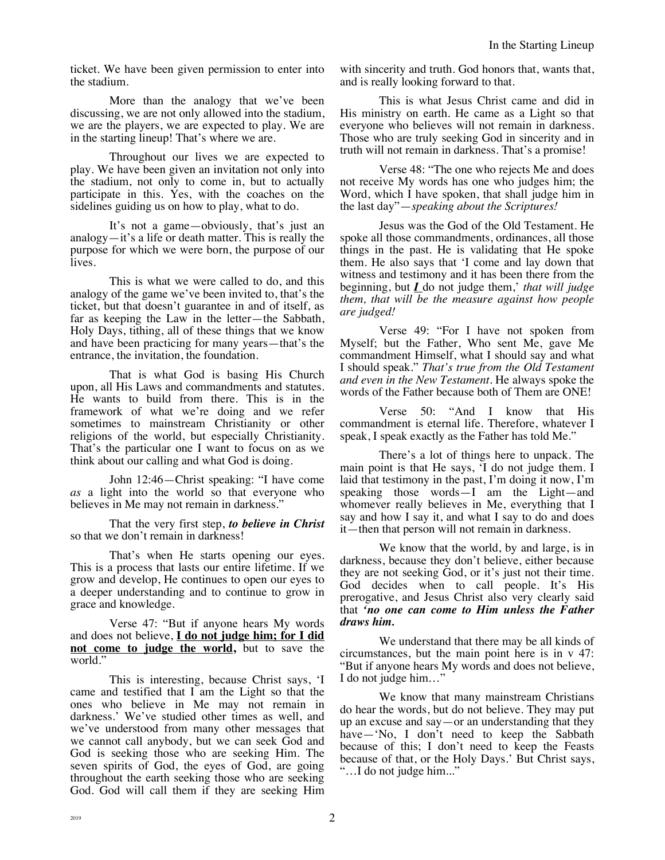ticket. We have been given permission to enter into the stadium.

More than the analogy that we've been discussing, we are not only allowed into the stadium, we are the players, we are expected to play. We are in the starting lineup! That's where we are.

Throughout our lives we are expected to play. We have been given an invitation not only into the stadium, not only to come in, but to actually participate in this. Yes, with the coaches on the sidelines guiding us on how to play, what to do.

It's not a game—obviously, that's just an analogy—it's a life or death matter. This is really the purpose for which we were born, the purpose of our lives.

This is what we were called to do, and this analogy of the game we've been invited to, that's the ticket, but that doesn't guarantee in and of itself, as far as keeping the Law in the letter—the Sabbath, Holy Days, tithing, all of these things that we know and have been practicing for many years—that's the entrance, the invitation, the foundation.

That is what God is basing His Church upon, all His Laws and commandments and statutes. He wants to build from there. This is in the framework of what we're doing and we refer sometimes to mainstream Christianity or other religions of the world, but especially Christianity. That's the particular one I want to focus on as we think about our calling and what God is doing.

John 12:46—Christ speaking: "I have come *as* a light into the world so that everyone who believes in Me may not remain in darkness."

That the very first step, *to believe in Christ* so that we don't remain in darkness!

That's when He starts opening our eyes. This is a process that lasts our entire lifetime. If we grow and develop, He continues to open our eyes to a deeper understanding and to continue to grow in grace and knowledge.

Verse 47: "But if anyone hears My words and does not believe, **I do not judge him; for I did not come to judge the world,** but to save the world."

This is interesting, because Christ says, 'I came and testified that I am the Light so that the ones who believe in Me may not remain in darkness.' We've studied other times as well, and we've understood from many other messages that we cannot call anybody, but we can seek God and God is seeking those who are seeking Him. The seven spirits of God, the eyes of God, are going throughout the earth seeking those who are seeking God. God will call them if they are seeking Him

with sincerity and truth. God honors that, wants that, and is really looking forward to that.

This is what Jesus Christ came and did in His ministry on earth. He came as a Light so that everyone who believes will not remain in darkness. Those who are truly seeking God in sincerity and in truth will not remain in darkness. That's a promise!

Verse 48: "The one who rejects Me and does not receive My words has one who judges him; the Word, which I have spoken, that shall judge him in the last day"—*speaking about the Scriptures!*

Jesus was the God of the Old Testament. He spoke all those commandments, ordinances, all those things in the past. He is validating that He spoke them. He also says that 'I come and lay down that witness and testimony and it has been there from the beginning, but *I* do not judge them,' *that will judge them, that will be the measure against how people are judged!*

Verse 49: "For I have not spoken from Myself; but the Father, Who sent Me, gave Me commandment Himself, what I should say and what I should speak." *That's true from the Old Testament and even in the New Testament.* He always spoke the words of the Father because both of Them are ONE!

Verse 50: "And I know that His commandment is eternal life. Therefore, whatever I speak, I speak exactly as the Father has told Me."

There's a lot of things here to unpack. The main point is that He says, 'I do not judge them. I laid that testimony in the past, I'm doing it now, I'm speaking those words—I am the Light—and whomever really believes in Me, everything that I say and how I say it, and what I say to do and does it—then that person will not remain in darkness.

We know that the world, by and large, is in darkness, because they don't believe, either because they are not seeking God, or it's just not their time. God decides when to call people. It's His prerogative, and Jesus Christ also very clearly said that *'no one can come to Him unless the Father draws him.*

We understand that there may be all kinds of circumstances, but the main point here is in v 47: "But if anyone hears My words and does not believe, I do not judge him…"

We know that many mainstream Christians do hear the words, but do not believe. They may put up an excuse and say—or an understanding that they have—'No, I don't need to keep the Sabbath because of this; I don't need to keep the Feasts because of that, or the Holy Days.' But Christ says, "…I do not judge him..."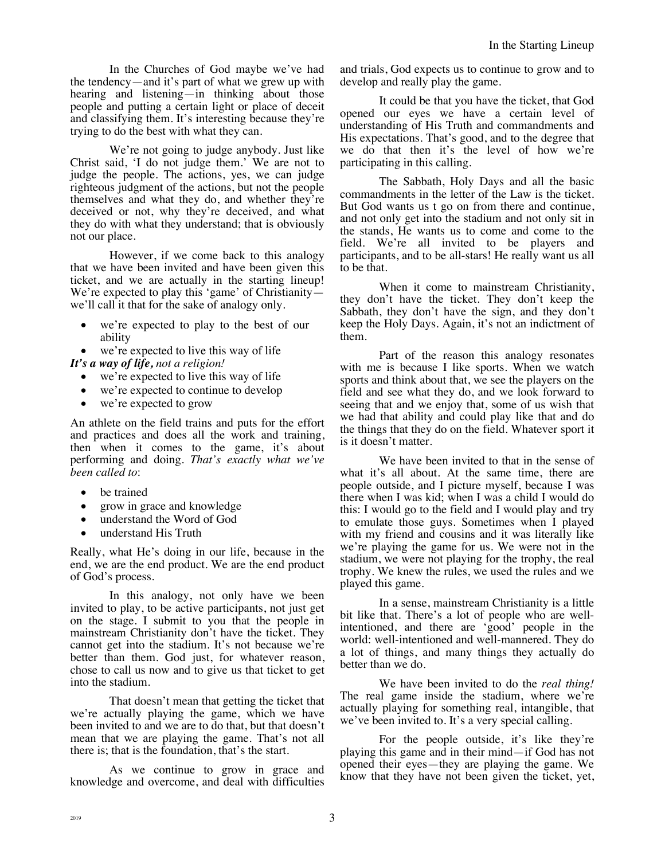In the Churches of God maybe we've had the tendency—and it's part of what we grew up with hearing and listening—in thinking about those people and putting a certain light or place of deceit and classifying them. It's interesting because they're trying to do the best with what they can.

We're not going to judge anybody. Just like Christ said, 'I do not judge them.' We are not to judge the people. The actions, yes, we can judge righteous judgment of the actions, but not the people themselves and what they do, and whether they're deceived or not, why they're deceived, and what they do with what they understand; that is obviously not our place.

However, if we come back to this analogy that we have been invited and have been given this ticket, and we are actually in the starting lineup! We're expected to play this 'game' of Christianity we'll call it that for the sake of analogy only.

- we're expected to play to the best of our ability
- we're expected to live this way of life

## *It's a way of life, not a religion!*

- we're expected to live this way of life
- we're expected to continue to develop
- we're expected to grow

An athlete on the field trains and puts for the effort and practices and does all the work and training, then when it comes to the game, it's about performing and doing. *That's exactly what we've been called to*:

- be trained
- grow in grace and knowledge
- understand the Word of God
- understand His Truth

Really, what He's doing in our life, because in the end, we are the end product. We are the end product of God's process.

In this analogy, not only have we been invited to play, to be active participants, not just get on the stage. I submit to you that the people in mainstream Christianity don't have the ticket. They cannot get into the stadium. It's not because we're better than them. God just, for whatever reason, chose to call us now and to give us that ticket to get into the stadium.

That doesn't mean that getting the ticket that we're actually playing the game, which we have been invited to and we are to do that, but that doesn't mean that we are playing the game. That's not all there is; that is the foundation, that's the start.

As we continue to grow in grace and knowledge and overcome, and deal with difficulties and trials, God expects us to continue to grow and to develop and really play the game.

It could be that you have the ticket, that God opened our eyes we have a certain level of understanding of His Truth and commandments and His expectations. That's good, and to the degree that we do that then it's the level of how we're participating in this calling.

The Sabbath, Holy Days and all the basic commandments in the letter of the Law is the ticket. But God wants us t go on from there and continue, and not only get into the stadium and not only sit in the stands, He wants us to come and come to the field. We're all invited to be players and participants, and to be all-stars! He really want us all to be that.

When it come to mainstream Christianity, they don't have the ticket. They don't keep the Sabbath, they don't have the sign, and they don't keep the Holy Days. Again, it's not an indictment of them.

Part of the reason this analogy resonates with me is because I like sports. When we watch sports and think about that, we see the players on the field and see what they do, and we look forward to seeing that and we enjoy that, some of us wish that we had that ability and could play like that and do the things that they do on the field. Whatever sport it is it doesn't matter.

We have been invited to that in the sense of what it's all about. At the same time, there are people outside, and I picture myself, because I was there when I was kid; when I was a child I would do this: I would go to the field and I would play and try to emulate those guys. Sometimes when I played with my friend and cousins and it was literally like we're playing the game for us. We were not in the stadium, we were not playing for the trophy, the real trophy. We knew the rules, we used the rules and we played this game.

In a sense, mainstream Christianity is a little bit like that. There's a lot of people who are wellintentioned, and there are 'good' people in the world: well-intentioned and well-mannered. They do a lot of things, and many things they actually do better than we do.

We have been invited to do the *real thing!* The real game inside the stadium, where we're actually playing for something real, intangible, that we've been invited to. It's a very special calling.

For the people outside, it's like they're playing this game and in their mind—if God has not opened their eyes—they are playing the game. We know that they have not been given the ticket, yet,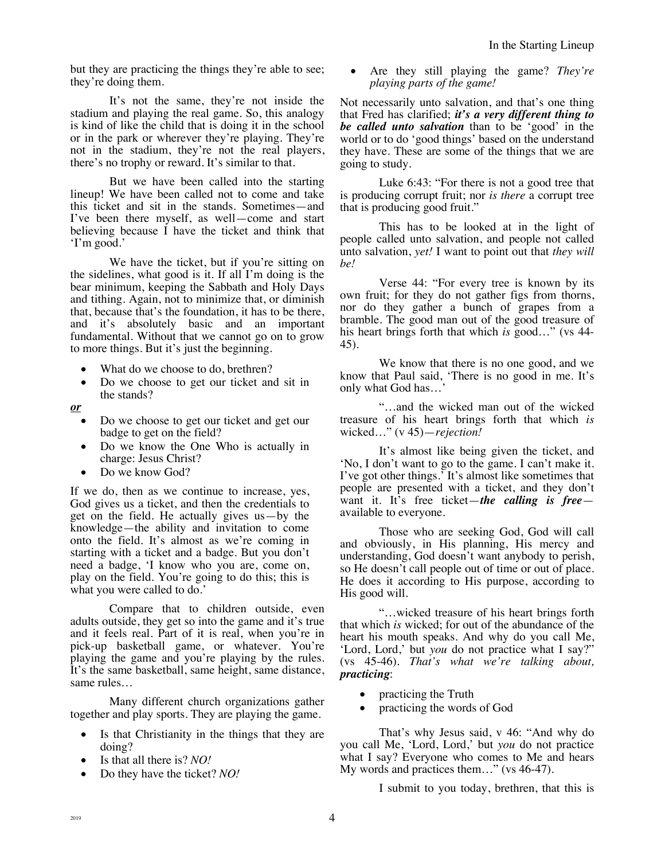but they are practicing the things they're able to see; they're doing them.

It's not the same, they're not inside the stadium and playing the real game. So, this analogy is kind of like the child that is doing it in the school or in the park or wherever they're playing. They're not in the stadium, they're not the real players, there's no trophy or reward. It's similar to that.

But we have been called into the starting lineup! We have been called not to come and take this ticket and sit in the stands. Sometimes—and I've been there myself, as well—come and start believing because I have the ticket and think that 'I'm good.'

We have the ticket, but if you're sitting on the sidelines, what good is it. If all I'm doing is the bear minimum, keeping the Sabbath and Holy Days and tithing. Again, not to minimize that, or diminish that, because that's the foundation, it has to be there, and it's absolutely basic and an important fundamental. Without that we cannot go on to grow to more things. But it's just the beginning.

- What do we choose to do, brethren?
- Do we choose to get our ticket and sit in the stands?
- *or*
	- Do we choose to get our ticket and get our badge to get on the field?
	- Do we know the One Who is actually in charge: Jesus Christ?
	- Do we know God?

If we do, then as we continue to increase, yes, God gives us a ticket, and then the credentials to get on the field. He actually gives us—by the knowledge—the ability and invitation to come onto the field. It's almost as we're coming in starting with a ticket and a badge. But you don't need a badge, 'I know who you are, come on, play on the field. You're going to do this; this is what you were called to do.'

Compare that to children outside, even adults outside, they get so into the game and it's true and it feels real. Part of it is real, when you're in pick-up basketball game, or whatever. You're playing the game and you're playing by the rules. It's the same basketball, same height, same distance, same rules…

Many different church organizations gather together and play sports. They are playing the game.

- Is that Christianity in the things that they are doing?
- Is that all there is? *NO!*
- Do they have the ticket? *NO!*

• Are they still playing the game? *They're playing parts of the game!*

Not necessarily unto salvation, and that's one thing that Fred has clarified; *it's a very different thing to be called unto salvation* than to be 'good' in the world or to do 'good things' based on the understand they have. These are some of the things that we are going to study.

Luke 6:43: "For there is not a good tree that is producing corrupt fruit; nor *is there* a corrupt tree that is producing good fruit."

This has to be looked at in the light of people called unto salvation, and people not called unto salvation, *yet!* I want to point out that *they will be!*

Verse 44: "For every tree is known by its own fruit; for they do not gather figs from thorns, nor do they gather a bunch of grapes from a bramble. The good man out of the good treasure of his heart brings forth that which *is* good…" (vs 44- 45).

We know that there is no one good, and we know that Paul said, 'There is no good in me. It's only what God has…'

"…and the wicked man out of the wicked treasure of his heart brings forth that which *is* wicked…" (v 45)—*rejection!*

It's almost like being given the ticket, and 'No, I don't want to go to the game. I can't make it. I've got other things.' It's almost like sometimes that people are presented with a ticket, and they don't want it. It's free ticket—*the calling is free* available to everyone.

Those who are seeking God, God will call and obviously, in His planning, His mercy and understanding, God doesn't want anybody to perish, so He doesn't call people out of time or out of place. He does it according to His purpose, according to His good will.

"…wicked treasure of his heart brings forth that which *is* wicked; for out of the abundance of the heart his mouth speaks. And why do you call Me, 'Lord, Lord,' but *you* do not practice what I say?" (vs 45-46). *That's what we're talking about, practicing*:

- practicing the Truth
- practicing the words of God

That's why Jesus said, v 46: "And why do you call Me, 'Lord, Lord,' but *you* do not practice what I say? Everyone who comes to Me and hears My words and practices them…" (vs 46-47).

I submit to you today, brethren, that this is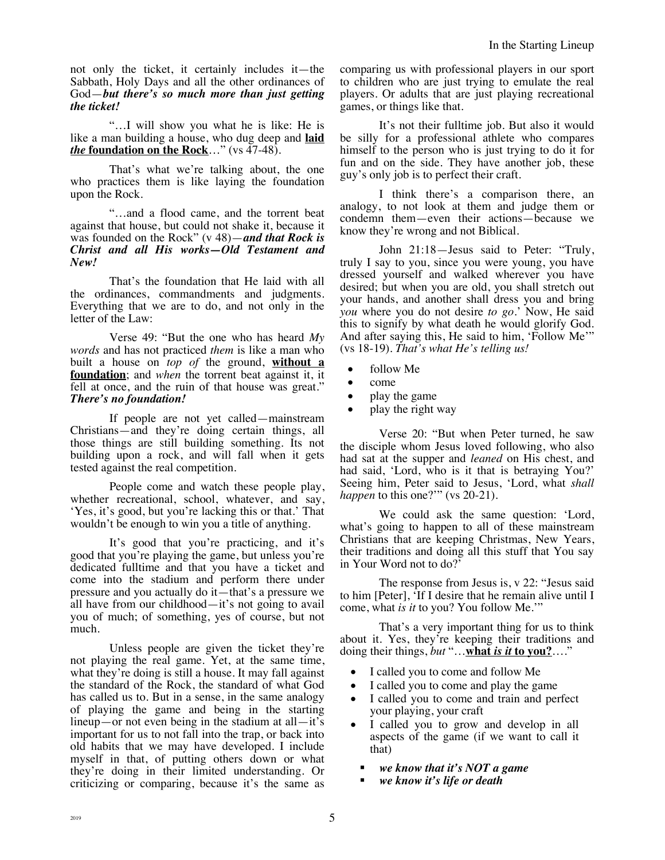not only the ticket, it certainly includes it—the Sabbath, Holy Days and all the other ordinances of God—*but there's so much more than just getting the ticket!*

"…I will show you what he is like: He is like a man building a house, who dug deep and **laid**  *the* **foundation on the Rock**…" (vs 47-48).

That's what we're talking about, the one who practices them is like laying the foundation upon the Rock.

"…and a flood came, and the torrent beat against that house, but could not shake it, because it was founded on the Rock" (v 48)—*and that Rock is Christ and all His works—Old Testament and New!*

That's the foundation that He laid with all the ordinances, commandments and judgments. Everything that we are to do, and not only in the letter of the Law:

Verse 49: "But the one who has heard *My words* and has not practiced *them* is like a man who built a house on *top of* the ground, **without a foundation**; and *when* the torrent beat against it, it fell at once, and the ruin of that house was great." *There's no foundation!*

If people are not yet called—mainstream Christians—and they're doing certain things, all those things are still building something. Its not building upon a rock, and will fall when it gets tested against the real competition.

People come and watch these people play, whether recreational, school, whatever, and say, 'Yes, it's good, but you're lacking this or that.' That wouldn't be enough to win you a title of anything.

It's good that you're practicing, and it's good that you're playing the game, but unless you're dedicated fulltime and that you have a ticket and come into the stadium and perform there under pressure and you actually do it—that's a pressure we all have from our childhood—it's not going to avail you of much; of something, yes of course, but not much.

Unless people are given the ticket they're not playing the real game. Yet, at the same time, what they're doing is still a house. It may fall against the standard of the Rock, the standard of what God has called us to. But in a sense, in the same analogy of playing the game and being in the starting lineup—or not even being in the stadium at all—it's important for us to not fall into the trap, or back into old habits that we may have developed. I include myself in that, of putting others down or what they're doing in their limited understanding. Or criticizing or comparing, because it's the same as comparing us with professional players in our sport to children who are just trying to emulate the real players. Or adults that are just playing recreational games, or things like that.

It's not their fulltime job. But also it would be silly for a professional athlete who compares himself to the person who is just trying to do it for fun and on the side. They have another job, these guy's only job is to perfect their craft.

I think there's a comparison there, an analogy, to not look at them and judge them or condemn them—even their actions—because we know they're wrong and not Biblical.

John 21:18—Jesus said to Peter: "Truly, truly I say to you, since you were young, you have dressed yourself and walked wherever you have desired; but when you are old, you shall stretch out your hands, and another shall dress you and bring *you* where you do not desire *to go*.' Now, He said this to signify by what death he would glorify God. And after saying this, He said to him, 'Follow Me'" (vs 18-19). *That's what He's telling us!*

- follow Me
- come
- play the game
- play the right way

Verse 20: "But when Peter turned, he saw the disciple whom Jesus loved following, who also had sat at the supper and *leaned* on His chest, and had said, 'Lord, who is it that is betraying You?' Seeing him, Peter said to Jesus, 'Lord, what *shall happen* to this one?"" (vs 20-21).

We could ask the same question: 'Lord, what's going to happen to all of these mainstream Christians that are keeping Christmas, New Years, their traditions and doing all this stuff that You say in Your Word not to do?'

The response from Jesus is, v 22: "Jesus said to him [Peter], 'If I desire that he remain alive until I come, what *is it* to you? You follow Me.'"

That's a very important thing for us to think about it. Yes, they're keeping their traditions and doing their things, *but* "…**what** *is it* **to you?**…."

- I called you to come and follow Me
- I called you to come and play the game
- I called you to come and train and perfect your playing, your craft
- I called you to grow and develop in all aspects of the game (if we want to call it that)
	- § *we know that it's NOT a game*
	- § *we know it's life or death*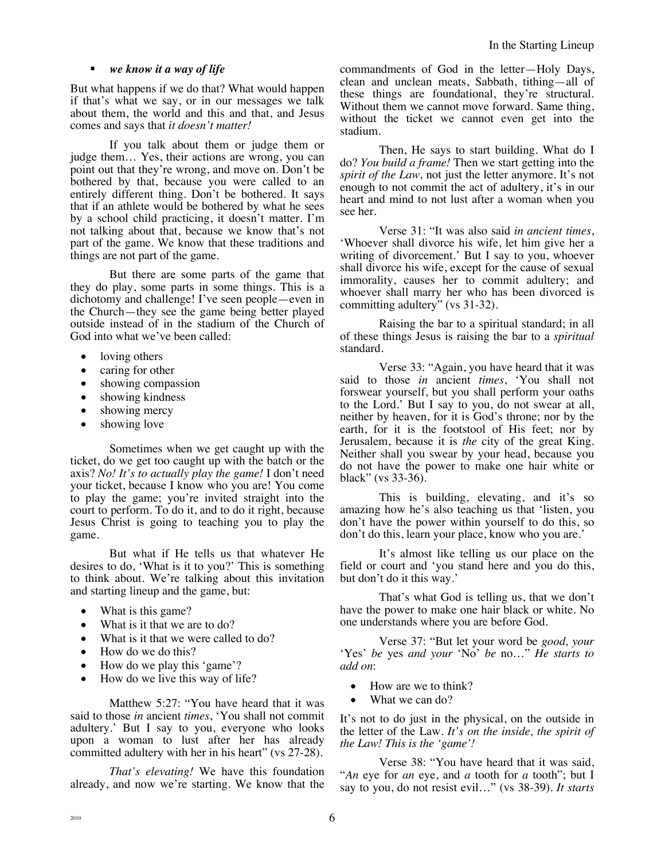### § *we know it a way of life*

But what happens if we do that? What would happen if that's what we say, or in our messages we talk about them, the world and this and that, and Jesus comes and says that *it doesn't matter!* 

If you talk about them or judge them or judge them… Yes, their actions are wrong, you can point out that they're wrong, and move on. Don't be bothered by that, because you were called to an entirely different thing. Don't be bothered. It says that if an athlete would be bothered by what he sees by a school child practicing, it doesn't matter. I'm not talking about that, because we know that's not part of the game. We know that these traditions and things are not part of the game.

But there are some parts of the game that they do play, some parts in some things. This is a dichotomy and challenge! I've seen people—even in the Church—they see the game being better played outside instead of in the stadium of the Church of God into what we've been called:

- loving others
- caring for other
- showing compassion
- showing kindness
- showing mercy
- showing love

Sometimes when we get caught up with the ticket, do we get too caught up with the batch or the axis? *No! It's to actually play the game!* I don't need your ticket, because I know who you are! You come to play the game; you're invited straight into the court to perform. To do it, and to do it right, because Jesus Christ is going to teaching you to play the game.

But what if He tells us that whatever He desires to do, 'What is it to you?' This is something to think about. We're talking about this invitation and starting lineup and the game, but:

- What is this game?
- What is it that we are to do?
- What is it that we were called to do?
- How do we do this?
- How do we play this 'game'?
- How do we live this way of life?

Matthew 5:27: "You have heard that it was said to those *in* ancient *times*, 'You shall not commit adultery.' But I say to you, everyone who looks upon a woman to lust after her has already committed adultery with her in his heart" (vs 27-28).

*That's elevating!* We have this foundation already, and now we're starting. We know that the commandments of God in the letter—Holy Days, clean and unclean meats, Sabbath, tithing—all of these things are foundational, they're structural. Without them we cannot move forward. Same thing, without the ticket we cannot even get into the stadium.

Then, He says to start building. What do I do? *You build a frame!* Then we start getting into the *spirit of the Law,* not just the letter anymore. It's not enough to not commit the act of adultery, it's in our heart and mind to not lust after a woman when you see her.

Verse 31: "It was also said *in ancient times*, 'Whoever shall divorce his wife, let him give her a writing of divorcement.' But I say to you, whoever shall divorce his wife, except for the cause of sexual immorality, causes her to commit adultery; and whoever shall marry her who has been divorced is committing adultery" (vs 31-32).

Raising the bar to a spiritual standard; in all of these things Jesus is raising the bar to a *spiritual* standard.

Verse 33: "Again, you have heard that it was said to those *in* ancient *times*, 'You shall not forswear yourself, but you shall perform your oaths to the Lord.' But I say to you, do not swear at all, neither by heaven, for it is God's throne; nor by the earth, for it is the footstool of His feet; nor by Jerusalem, because it is *the* city of the great King. Neither shall you swear by your head, because you do not have the power to make one hair white or black" (vs 33-36).

This is building, elevating, and it's so amazing how he's also teaching us that 'listen, you don't have the power within yourself to do this, so don't do this, learn your place, know who you are.'

It's almost like telling us our place on the field or court and 'you stand here and you do this, but don't do it this way.'

That's what God is telling us, that we don't have the power to make one hair black or white. No one understands where you are before God.

Verse 37: "But let your word be *good, your* 'Yes' *be* yes *and your* 'No' *be* no…" *He starts to add on*:

- How are we to think?
- What we can do?

It's not to do just in the physical, on the outside in the letter of the Law. *It's on the inside, the spirit of the Law! This is the 'game'!*

Verse 38: "You have heard that it was said, "*An* eye for *an* eye, and *a* tooth for *a* tooth"; but I say to you, do not resist evil…" (vs 38-39). *It starts*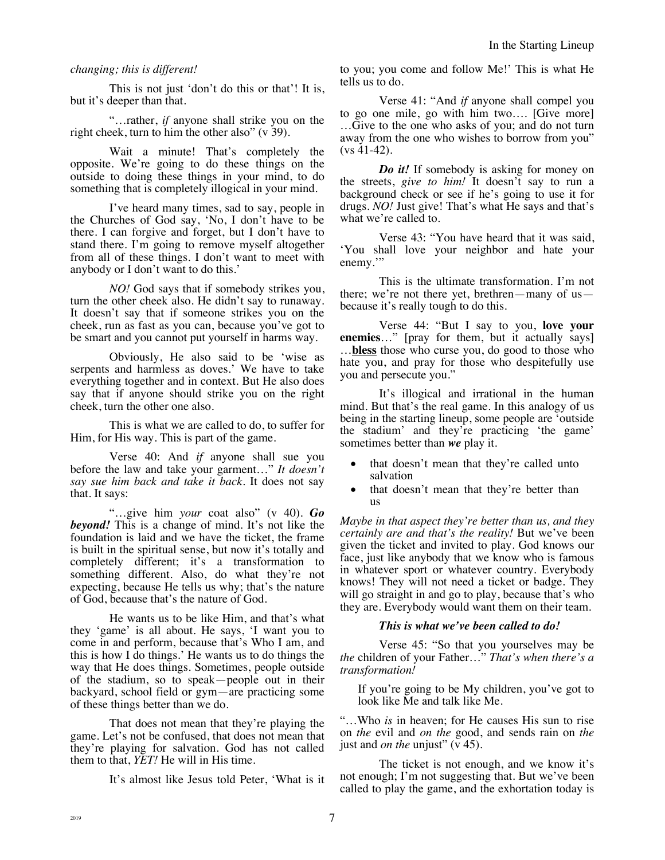## *changing; this is different!*

This is not just 'don't do this or that'! It is, but it's deeper than that.

"…rather, *if* anyone shall strike you on the right cheek, turn to him the other also" (v 39).

Wait a minute! That's completely the opposite. We're going to do these things on the outside to doing these things in your mind, to do something that is completely illogical in your mind.

I've heard many times, sad to say, people in the Churches of God say, 'No, I don't have to be there. I can forgive and forget, but I don't have to stand there. I'm going to remove myself altogether from all of these things. I don't want to meet with anybody or I don't want to do this.'

*NO!* God says that if somebody strikes you, turn the other cheek also. He didn't say to runaway. It doesn't say that if someone strikes you on the cheek, run as fast as you can, because you've got to be smart and you cannot put yourself in harms way.

Obviously, He also said to be 'wise as serpents and harmless as doves.' We have to take everything together and in context. But He also does say that if anyone should strike you on the right cheek, turn the other one also.

This is what we are called to do, to suffer for Him, for His way. This is part of the game.

Verse 40: And *if* anyone shall sue you before the law and take your garment…" *It doesn't say sue him back and take it back.* It does not say that. It says:

"…give him *your* coat also" (v 40). *Go beyond!* This is a change of mind. It's not like the foundation is laid and we have the ticket, the frame is built in the spiritual sense, but now it's totally and completely different; it's a transformation to something different. Also, do what they're not expecting, because He tells us why; that's the nature of God, because that's the nature of God.

He wants us to be like Him, and that's what they 'game' is all about. He says, 'I want you to come in and perform, because that's Who I am, and this is how I do things.' He wants us to do things the way that He does things. Sometimes, people outside of the stadium, so to speak—people out in their backyard, school field or gym—are practicing some of these things better than we do.

That does not mean that they're playing the game. Let's not be confused, that does not mean that they're playing for salvation. God has not called them to that, *YET!* He will in His time.

It's almost like Jesus told Peter, 'What is it

to you; you come and follow Me!' This is what He tells us to do.

Verse 41: "And *if* anyone shall compel you to go one mile, go with him two…. [Give more] …Give to the one who asks of you; and do not turn away from the one who wishes to borrow from you"  $(vs 41-42)$ .

*Do it!* If somebody is asking for money on the streets, *give to him!* It doesn't say to run a background check or see if he's going to use it for drugs. *NO!* Just give! That's what He says and that's what we're called to.

Verse 43: "You have heard that it was said, 'You shall love your neighbor and hate your enemy."

This is the ultimate transformation. I'm not there; we're not there yet, brethren—many of us because it's really tough to do this.

Verse 44: "But I say to you, **love your enemies**…" [pray for them, but it actually says] …**bless** those who curse you, do good to those who hate you, and pray for those who despitefully use you and persecute you."

It's illogical and irrational in the human mind. But that's the real game. In this analogy of us being in the starting lineup, some people are 'outside the stadium' and they're practicing 'the game' sometimes better than *we* play it.

- that doesn't mean that they're called unto salvation
- that doesn't mean that they're better than us

*Maybe in that aspect they're better than us, and they certainly are and that's the reality!* But we've been given the ticket and invited to play. God knows our face, just like anybody that we know who is famous in whatever sport or whatever country. Everybody knows! They will not need a ticket or badge. They will go straight in and go to play, because that's who they are. Everybody would want them on their team.

### *This is what we've been called to do!*

Verse 45: "So that you yourselves may be *the* children of your Father…" *That's when there's a transformation!* 

If you're going to be My children, you've got to look like Me and talk like Me.

"…Who *is* in heaven; for He causes His sun to rise on *the* evil and *on the* good, and sends rain on *the* just and *on the* unjust" (v 45).

The ticket is not enough, and we know it's not enough; I'm not suggesting that. But we've been called to play the game, and the exhortation today is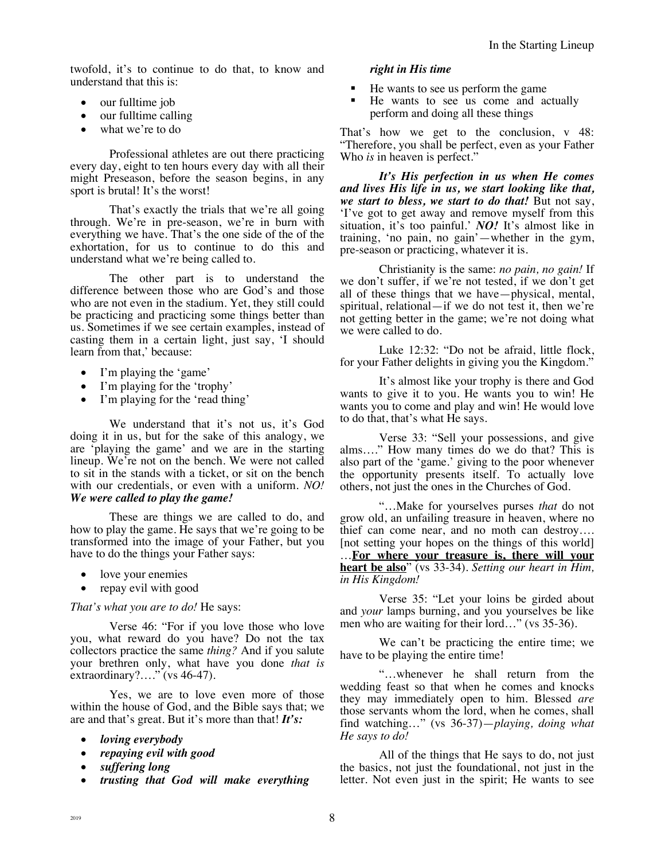twofold, it's to continue to do that, to know and understand that this is:

- our fulltime job
- our fulltime calling
- what we're to do

Professional athletes are out there practicing every day, eight to ten hours every day with all their might Preseason, before the season begins, in any sport is brutal! It's the worst!

That's exactly the trials that we're all going through. We're in pre-season, we're in burn with everything we have. That's the one side of the of the exhortation, for us to continue to do this and understand what we're being called to.

The other part is to understand the difference between those who are God's and those who are not even in the stadium. Yet, they still could be practicing and practicing some things better than us. Sometimes if we see certain examples, instead of casting them in a certain light, just say, 'I should learn from that,' because:

- I'm playing the 'game'
- I'm playing for the 'trophy'
- I'm playing for the 'read thing'

We understand that it's not us, it's God doing it in us, but for the sake of this analogy, we are 'playing the game' and we are in the starting lineup. We're not on the bench. We were not called to sit in the stands with a ticket, or sit on the bench with our credentials, or even with a uniform. *NO! We were called to play the game!*

These are things we are called to do, and how to play the game. He says that we're going to be transformed into the image of your Father, but you have to do the things your Father says:

- love your enemies
- repay evil with good

### *That's what you are to do!* He says:

Verse 46: "For if you love those who love you, what reward do you have? Do not the tax collectors practice the same *thing?* And if you salute your brethren only, what have you done *that is* extraordinary?…." (vs 46-47).

Yes, we are to love even more of those within the house of God, and the Bible says that; we are and that's great. But it's more than that! *It's:* 

- *loving everybody*
- *repaying evil with good*
- *suffering long*
- *trusting that God will make everything*

## *right in His time*

- § He wants to see us perform the game
- He wants to see us come and actually perform and doing all these things

That's how we get to the conclusion, v 48: "Therefore, you shall be perfect, even as your Father Who *is* in heaven is perfect."

*It's His perfection in us when He comes and lives His life in us, we start looking like that, we start to bless, we start to do that!* But not say, 'I've got to get away and remove myself from this situation, it's too painful.' *NO!* It's almost like in training, 'no pain, no gain'—whether in the gym, pre-season or practicing, whatever it is.

Christianity is the same: *no pain, no gain!* If we don't suffer, if we're not tested, if we don't get all of these things that we have—physical, mental, spiritual, relational—if we do not test it, then we're not getting better in the game; we're not doing what we were called to do.

Luke 12:32: "Do not be afraid, little flock, for your Father delights in giving you the Kingdom."

It's almost like your trophy is there and God wants to give it to you. He wants you to win! He wants you to come and play and win! He would love to do that, that's what He says.

Verse 33: "Sell your possessions, and give alms…." How many times do we do that? This is also part of the 'game.' giving to the poor whenever the opportunity presents itself. To actually love others, not just the ones in the Churches of God.

"…Make for yourselves purses *that* do not grow old, an unfailing treasure in heaven, where no thief can come near, and no moth can destroy…. [not setting your hopes on the things of this world] …**For where your treasure is, there will your heart be also**" (vs 33-34). *Setting our heart in Him, in His Kingdom!*

Verse 35: "Let your loins be girded about and *your* lamps burning, and you yourselves be like men who are waiting for their lord…" (vs 35-36).

We can't be practicing the entire time; we have to be playing the entire time!

"…whenever he shall return from the wedding feast so that when he comes and knocks they may immediately open to him. Blessed *are* those servants whom the lord, when he comes, shall find watching…" (vs 36-37)—*playing, doing what He says to do!*

All of the things that He says to do, not just the basics, not just the foundational, not just in the letter. Not even just in the spirit; He wants to see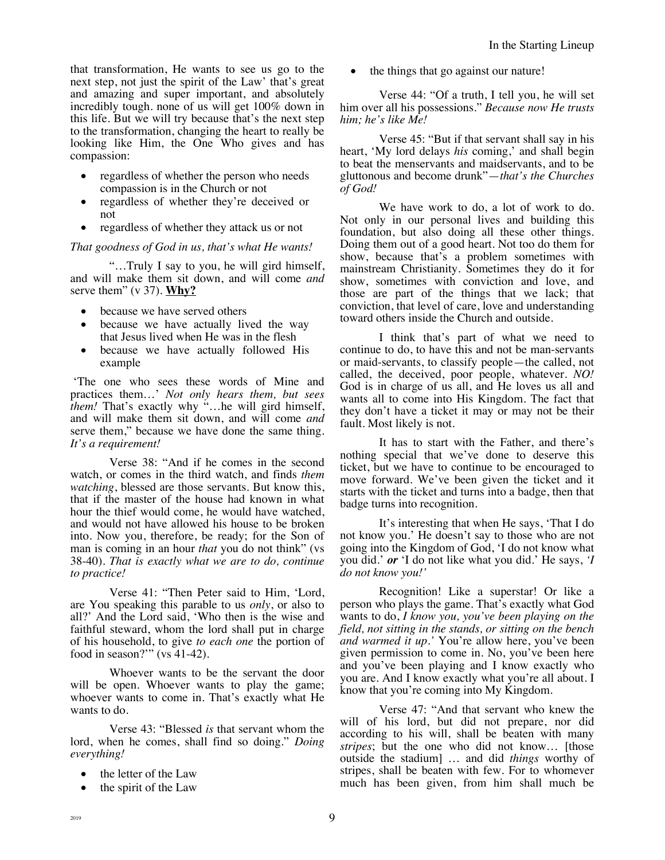that transformation, He wants to see us go to the next step, not just the spirit of the Law' that's great and amazing and super important, and absolutely incredibly tough. none of us will get 100% down in this life. But we will try because that's the next step to the transformation, changing the heart to really be looking like Him, the One Who gives and has compassion:

- regardless of whether the person who needs compassion is in the Church or not
- regardless of whether they're deceived or not
- regardless of whether they attack us or not

*That goodness of God in us, that's what He wants!*

"…Truly I say to you, he will gird himself, and will make them sit down, and will come *and* serve them" (v 37). **Why?**

- because we have served others
- because we have actually lived the way that Jesus lived when He was in the flesh
- because we have actually followed His example

'The one who sees these words of Mine and practices them…' *Not only hears them, but sees them!* That's exactly why "…he will gird himself, and will make them sit down, and will come *and* serve them," because we have done the same thing. *It's a requirement!*

Verse 38: "And if he comes in the second watch, or comes in the third watch, and finds *them watching*, blessed are those servants. But know this, that if the master of the house had known in what hour the thief would come, he would have watched, and would not have allowed his house to be broken into. Now you, therefore, be ready; for the Son of man is coming in an hour *that* you do not think" (vs 38-40). *That is exactly what we are to do, continue to practice!* 

Verse 41: "Then Peter said to Him, 'Lord, are You speaking this parable to us *only*, or also to all?' And the Lord said, 'Who then is the wise and faithful steward, whom the lord shall put in charge of his household, to give *to each one* the portion of food in season?'" (vs 41-42).

Whoever wants to be the servant the door will be open. Whoever wants to play the game; whoever wants to come in. That's exactly what He wants to do.

Verse 43: "Blessed *is* that servant whom the lord, when he comes, shall find so doing." *Doing everything!*

- the letter of the Law
- the spirit of the Law

the things that go against our nature!

Verse 44: "Of a truth, I tell you, he will set him over all his possessions." *Because now He trusts him; he's like Me!*

Verse 45: "But if that servant shall say in his heart, 'My lord delays *his* coming,' and shall begin to beat the menservants and maidservants, and to be gluttonous and become drunk"—*that's the Churches of God!*

We have work to do, a lot of work to do. Not only in our personal lives and building this foundation, but also doing all these other things. Doing them out of a good heart. Not too do them for show, because that's a problem sometimes with mainstream Christianity. Sometimes they do it for show, sometimes with conviction and love, and those are part of the things that we lack; that conviction, that level of care, love and understanding toward others inside the Church and outside.

I think that's part of what we need to continue to do, to have this and not be man-servants or maid-servants, to classify people—the called, not called, the deceived, poor people, whatever. *NO!* God is in charge of us all, and He loves us all and wants all to come into His Kingdom. The fact that they don't have a ticket it may or may not be their fault. Most likely is not.

It has to start with the Father, and there's nothing special that we've done to deserve this ticket, but we have to continue to be encouraged to move forward. We've been given the ticket and it starts with the ticket and turns into a badge, then that badge turns into recognition.

It's interesting that when He says, 'That I do not know you.' He doesn't say to those who are not going into the Kingdom of God, 'I do not know what you did.' *or* 'I do not like what you did.' He says, *'I do not know you!'*

Recognition! Like a superstar! Or like a person who plays the game. That's exactly what God wants to do, *I know you, you've been playing on the field, not sitting in the stands, or sitting on the bench and warmed it up.'* You're allow here, you've been given permission to come in. No, you've been here and you've been playing and I know exactly who you are. And I know exactly what you're all about. I know that you're coming into My Kingdom.

Verse 47: "And that servant who knew the will of his lord, but did not prepare, nor did according to his will, shall be beaten with many *stripes*; but the one who did not know… [those outside the stadium] … and did *things* worthy of stripes, shall be beaten with few. For to whomever much has been given, from him shall much be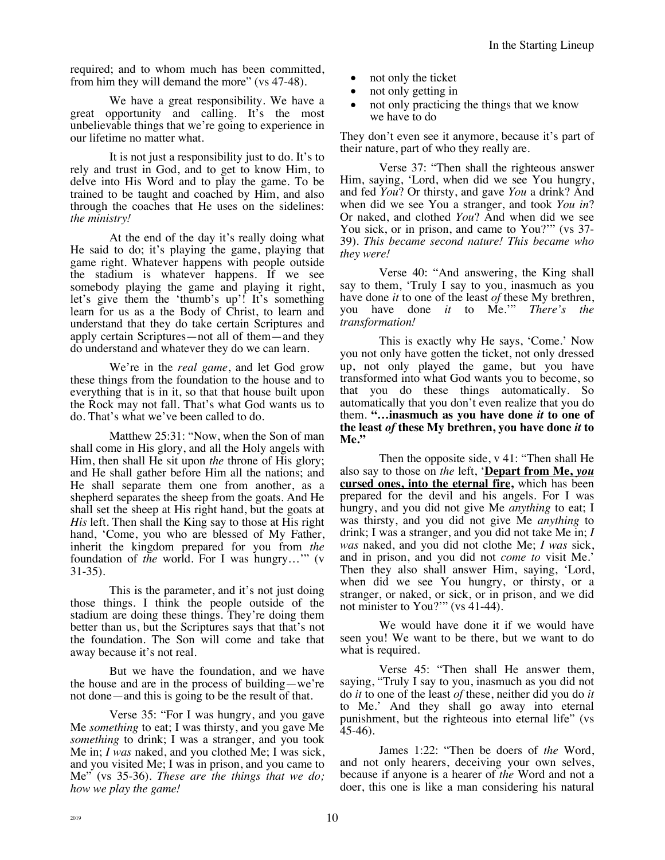required; and to whom much has been committed, from him they will demand the more" (vs 47-48).

We have a great responsibility. We have a great opportunity and calling. It's the most unbelievable things that we're going to experience in our lifetime no matter what.

It is not just a responsibility just to do. It's to rely and trust in God, and to get to know Him, to delve into His Word and to play the game. To be trained to be taught and coached by Him, and also through the coaches that He uses on the sidelines: *the ministry!*

At the end of the day it's really doing what He said to do; it's playing the game, playing that game right. Whatever happens with people outside the stadium is whatever happens. If we see somebody playing the game and playing it right, let's give them the 'thumb's up'! It's something learn for us as a the Body of Christ, to learn and understand that they do take certain Scriptures and apply certain Scriptures—not all of them—and they do understand and whatever they do we can learn.

We're in the *real game*, and let God grow these things from the foundation to the house and to everything that is in it, so that that house built upon the Rock may not fall. That's what God wants us to do. That's what we've been called to do.

Matthew 25:31: "Now, when the Son of man shall come in His glory, and all the Holy angels with Him, then shall He sit upon *the* throne of His glory; and He shall gather before Him all the nations; and He shall separate them one from another, as a shepherd separates the sheep from the goats. And He shall set the sheep at His right hand, but the goats at *His* left. Then shall the King say to those at His right hand, 'Come, you who are blessed of My Father, inherit the kingdom prepared for you from *the* foundation of *the* world. For I was hungry…'" (v 31-35).

This is the parameter, and it's not just doing those things. I think the people outside of the stadium are doing these things. They're doing them better than us, but the Scriptures says that that's not the foundation. The Son will come and take that away because it's not real.

But we have the foundation, and we have the house and are in the process of building—we're not done—and this is going to be the result of that.

Verse 35: "For I was hungry, and you gave Me *something* to eat; I was thirsty, and you gave Me *something* to drink; I was a stranger, and you took Me in; *I was* naked, and you clothed Me; I was sick, and you visited Me; I was in prison, and you came to Me" (vs 35-36). *These are the things that we do; how we play the game!*

- not only the ticket
- not only getting in
- not only practicing the things that we know we have to do

They don't even see it anymore, because it's part of their nature, part of who they really are.

Verse 37: "Then shall the righteous answer Him, saying, 'Lord, when did we see You hungry, and fed *You*? Or thirsty, and gave *You* a drink? And when did we see You a stranger, and took *You in*? Or naked, and clothed *You*? And when did we see You sick, or in prison, and came to You?'" (vs 37- 39). *This became second nature! This became who they were!*

Verse 40: "And answering, the King shall say to them, 'Truly I say to you, inasmuch as you have done *it* to one of the least *of* these My brethren, you have done *it* to Me.'" *There's the transformation!*

This is exactly why He says, 'Come.' Now you not only have gotten the ticket, not only dressed up, not only played the game, but you have transformed into what God wants you to become, so that you do these things automatically. So automatically that you don't even realize that you do them. **"…inasmuch as you have done** *it* **to one of the least** *of* **these My brethren, you have done** *it* **to Me."**

Then the opposite side, v 41: "Then shall He also say to those on *the* left, '**Depart from Me,** *you* **cursed ones, into the eternal fire,** which has been prepared for the devil and his angels. For I was hungry, and you did not give Me *anything* to eat; I was thirsty, and you did not give Me *anything* to drink; I was a stranger, and you did not take Me in; *I was* naked, and you did not clothe Me; *I was* sick, and in prison, and you did not *come to* visit Me.' Then they also shall answer Him, saying, 'Lord, when did we see You hungry, or thirsty, or a stranger, or naked, or sick, or in prison, and we did not minister to You?'" (vs 41-44).

We would have done it if we would have seen you! We want to be there, but we want to do what is required.

Verse 45: "Then shall He answer them, saying, "Truly I say to you, inasmuch as you did not do *it* to one of the least *of* these, neither did you do *it* to Me.' And they shall go away into eternal punishment, but the righteous into eternal life" (vs 45-46).

James 1:22: "Then be doers of *the* Word, and not only hearers, deceiving your own selves, because if anyone is a hearer of *the* Word and not a doer, this one is like a man considering his natural